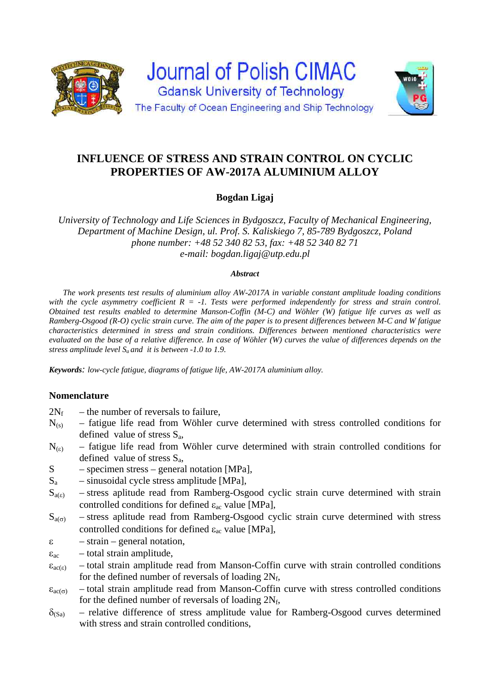

# **INFLUENCE OF STRESS AND STRAIN CONTROL ON CYCLIC PROPERTIES OF AW-2017A ALUMINIUM ALLOY**

# **Bogdan Ligaj**

*University of Technology and Life Sciences in Bydgoszcz, Faculty of Mechanical Engineering, Department of Machine Design, ul. Prof. S. Kaliskiego 7, 85-789 Bydgoszcz, Poland phone number: +48 52 340 82 53, fax: +48 52 340 82 71 e-mail: bogdan.ligaj@utp.edu.pl* 

#### *Abstract*

*The work presents test results of aluminium alloy AW-2017A in variable constant amplitude loading conditions*  with the cycle asymmetry coefficient  $R = -1$ . Tests were performed independently for stress and strain control. *Obtained test results enabled to determine Manson-Coffin (M-C) and Wöhler (W) fatigue life curves as well as Ramberg-Osgood (R-O) cyclic strain curve. The aim of the paper is to present differences between M-C and W fatigue characteristics determined in stress and strain conditions. Differences between mentioned characteristics were evaluated on the base of a relative difference. In case of Wöhler (W) curves the value of differences depends on the stress amplitude level Sa and it is between -1.0 to 1.9.* 

*Keywords: low-cycle fatigue, diagrams of fatigue life, AW-2017A aluminium alloy.* 

# **Nomenclature**

- $2N_f$  the number of reversals to failure,
- $N_{(s)}$  fatigue life read from Wöhler curve determined with stress controlled conditions for defined value of stress  $S_a$ ,
- $N_{(s)}$  fatigue life read from Wöhler curve determined with strain controlled conditions for defined value of stress  $S_a$ ,
- S specimen stress general notation [MPa],
- $S_a$  sinusoidal cycle stress amplitude [MPa],
- $S_{a(\epsilon)}$  stress aplitude read from Ramberg-Osgood cyclic strain curve determined with strain controlled conditions for defined  $\varepsilon_{ac}$  value [MPa],
- $S_{a(\sigma)}$  stress aplitude read from Ramberg-Osgood cyclic strain curve determined with stress controlled conditions for defined  $\varepsilon_{ac}$  value [MPa],
- $\epsilon$  strain general notation,
- $\varepsilon_{ac}$  total strain amplitude,
- $\varepsilon_{\text{acc}}$  total strain amplitude read from Manson-Coffin curve with strain controlled conditions for the defined number of reversals of loading  $2N_f$ ,
- $\varepsilon_{\text{ac}(\sigma)}$  total strain amplitude read from Manson-Coffin curve with stress controlled conditions for the defined number of reversals of loading  $2N_f$ ,
- $\delta_{(Sa)}$  relative difference of stress amplitude value for Ramberg-Osgood curves determined with stress and strain controlled conditions.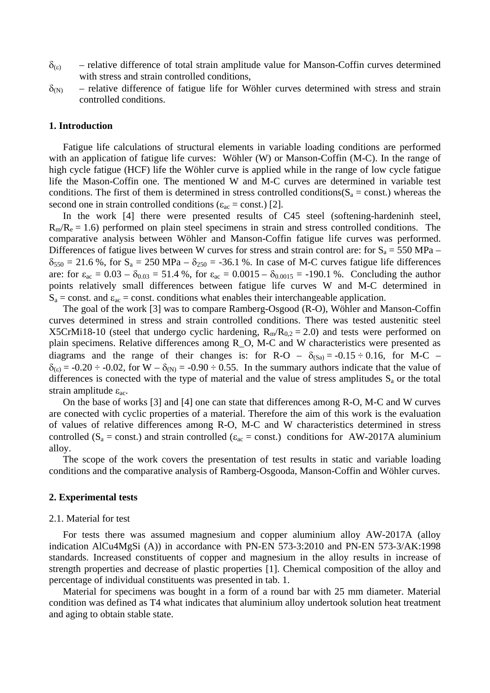- $\delta_{\text{\tiny (E)}}$  relative difference of total strain amplitude value for Manson-Coffin curves determined with stress and strain controlled conditions,
- $\delta_{(N)}$  relative difference of fatigue life for Wöhler curves determined with stress and strain controlled conditions.

#### **1. Introduction**

Fatigue life calculations of structural elements in variable loading conditions are performed with an application of fatigue life curves: Wöhler (W) or Manson-Coffin (M-C). In the range of high cycle fatigue (HCF) life the Wöhler curve is applied while in the range of low cycle fatigue life the Mason-Coffin one. The mentioned W and M-C curves are determined in variable test conditions. The first of them is determined in stress controlled conditions( $S_a$  = const.) whereas the second one in strain controlled conditions ( $\varepsilon_{ac}$  = const.) [2].

In the work [4] there were presented results of C45 steel (softening-hardeninh steel,  $R_m/R_e = 1.6$ ) performed on plain steel specimens in strain and stress controlled conditions. The comparative analysis between Wöhler and Manson-Coffin fatigue life curves was performed. Differences of fatigue lives between W curves for stress and strain control are: for  $S_a = 550 \text{ MPa}$  –  $\delta_{550}$  = 21.6 %, for S<sub>a</sub> = 250 MPa –  $\delta_{250}$  = -36.1 %. In case of M-C curves fatigue life differences are: for  $\varepsilon_{ac} = 0.03 - \delta_{0.03} = 51.4$  %, for  $\varepsilon_{ac} = 0.0015 - \delta_{0.0015} = -190.1$  %. Concluding the author points relatively small differences between fatigue life curves W and M-C determined in  $S_a$  = const. and  $\varepsilon_{ac}$  = const. conditions what enables their interchangeable application.

The goal of the work [3] was to compare Ramberg-Osgood (R-O), Wöhler and Manson-Coffin curves determined in stress and strain controlled conditions. There was tested austenitic steel X5CrMi18-10 (steel that undergo cyclic hardening,  $R_m/R_{0,2} = 2.0$ ) and tests were performed on plain specimens. Relative differences among R\_O, M-C and W characteristics were presented as diagrams and the range of their changes is: for R-O –  $\delta_{(Sa)} = -0.15 \div 0.16$ , for M-C –  $\delta_{\text{(s)}} = -0.20 \div -0.02$ , for W –  $\delta_{\text{(N)}} = -0.90 \div 0.55$ . In the summary authors indicate that the value of differences is conected with the type of material and the value of stress amplitudes  $S_a$  or the total strain amplitude  $\varepsilon_{ac}$ .

On the base of works [3] and [4] one can state that differences among R-O, M-C and W curves are conected with cyclic properties of a material. Therefore the aim of this work is the evaluation of values of relative differences among R-O, M-C and W characteristics determined in stress controlled ( $S_a$  = const.) and strain controlled ( $\varepsilon_{ac}$  = const.) conditions for AW-2017A aluminium alloy.

The scope of the work covers the presentation of test results in static and variable loading conditions and the comparative analysis of Ramberg-Osgooda, Manson-Coffin and Wöhler curves.

#### **2. Experimental tests**

#### 2.1. Material for test

For tests there was assumed magnesium and copper aluminium alloy AW-2017A (alloy indication AlCu4MgSi (A)) in accordance with PN-EN 573-3:2010 and PN-EN 573-3/AK:1998 standards. Increased constituents of copper and magnesium in the alloy results in increase of strength properties and decrease of plastic properties [1]. Chemical composition of the alloy and percentage of individual constituents was presented in tab. 1.

Material for specimens was bought in a form of a round bar with 25 mm diameter. Material condition was defined as T4 what indicates that aluminium alloy undertook solution heat treatment and aging to obtain stable state.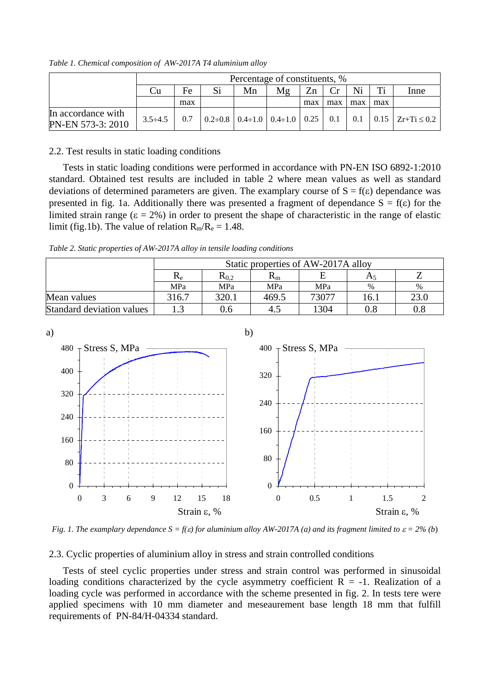*Table 1. Chemical composition of AW-2017A T4 aluminium alloy* 

|                                         | Percentage of constituents, % |     |    |    |    |     |     |     |     |                                                                                                                                   |
|-----------------------------------------|-------------------------------|-----|----|----|----|-----|-----|-----|-----|-----------------------------------------------------------------------------------------------------------------------------------|
|                                         | Cu                            | Fe  | Si | Mn | Mg | Zn  |     |     | Ti  | Inne                                                                                                                              |
|                                         |                               | max |    |    |    | max | max | max | max |                                                                                                                                   |
| In accordance with<br>PN-EN 573-3: 2010 | $3.5 \div 4.5$                | 0.7 |    |    |    |     |     |     |     | $\vert 0.2 \div 0.8 \vert 0.4 \div 1.0 \vert 0.4 \div 1.0 \vert 0.25 \vert 0.1 \vert 0.1 \vert 0.15 \vert 2r + Ti \leq 0.2 \vert$ |

2.2. Test results in static loading conditions

Tests in static loading conditions were performed in accordance with PN-EN ISO 6892-1:2010 standard. Obtained test results are included in table 2 where mean values as well as standard deviations of determined parameters are given. The examplary course of  $S = f(\varepsilon)$  dependance was presented in fig. 1a. Additionally there was presented a fragment of dependance  $S = f(\epsilon)$  for the limited strain range ( $\varepsilon = 2\%$ ) in order to present the shape of characteristic in the range of elastic limit (fig.1b). The value of relation  $R_m/R_e = 1.48$ .

*Table 2. Static properties of AW-2017A alloy in tensile loading conditions* 

|                           | Static properties of AW-2017A alloy |               |                           |            |      |           |  |
|---------------------------|-------------------------------------|---------------|---------------------------|------------|------|-----------|--|
|                           | $\mathbf{n}_{\rm e}$                | $\rm R_{0.2}$ | $\mathbf{r}_{\mathsf{m}}$ |            |      |           |  |
|                           | <b>MPa</b>                          | <b>MPa</b>    | <b>MPa</b>                | <b>MPa</b> | $\%$ | %         |  |
| Mean values               | 316.7                               | 320.1         | 469.5                     | 73077      | 16.  | 23.0      |  |
| Standard deviation values |                                     | J.6           | 4.5                       | 1304       |      | $\rm 0.8$ |  |



*Fig. 1. The examplary dependance*  $S = f(\varepsilon)$  for aluminium alloy AW-2017A (a) and its fragment limited to  $\varepsilon = 2\%$  (b)

2.3. Cyclic properties of aluminium alloy in stress and strain controlled conditions

Tests of steel cyclic properties under stress and strain control was performed in sinusoidal loading conditions characterized by the cycle asymmetry coefficient  $R = -1$ . Realization of a loading cycle was performed in accordance with the scheme presented in fig. 2. In tests tere were applied specimens with 10 mm diameter and meseaurement base length 18 mm that fulfill requirements of PN-84/H-04334 standard.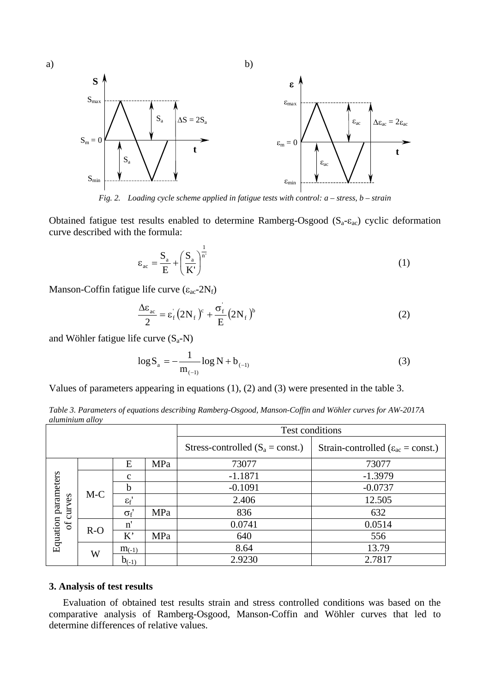

*Fig. 2. Loading cycle scheme applied in fatigue tests with control: a – stress, b – strain* 

Obtained fatigue test results enabled to determine Ramberg-Osgood  $(S_a - E_{ac})$  cyclic deformation curve described with the formula:

$$
\varepsilon_{ac} = \frac{S_a}{E} + \left(\frac{S_a}{K'}\right)^{\frac{1}{n'}}
$$
 (1)

Manson-Coffin fatigue life curve  $(\epsilon_{ac} - 2N_f)$ 

$$
\frac{\Delta \varepsilon_{ac}}{2} = \varepsilon_f \left( 2N_f \right)^c + \frac{\sigma_f}{E} \left( 2N_f \right)^b \tag{2}
$$

and Wöhler fatigue life curve  $(S_a-N)$ 

$$
\log S_{a} = -\frac{1}{m_{(-1)}} \log N + b_{(-1)}
$$
(3)

Values of parameters appearing in equations (1), (2) and (3) were presented in the table 3.

*Table 3. Parameters of equations describing Ramberg-Osgood, Manson-Coffin and Wöhler curves for AW-2017A aluminium alloy* 

|                                           |       |                  |     | Test conditions                    |                                                  |  |  |  |
|-------------------------------------------|-------|------------------|-----|------------------------------------|--------------------------------------------------|--|--|--|
|                                           |       |                  |     | Stress-controlled $(S_a = const.)$ | Strain-controlled ( $\varepsilon_{ac}$ = const.) |  |  |  |
|                                           |       | E                | MPa | 73077                              | 73077                                            |  |  |  |
| Equation parameters<br>curves<br>$\sigma$ | $M-C$ | $\mathbf{c}$     |     | $-1.1871$                          | $-1.3979$                                        |  |  |  |
|                                           |       | b                |     | $-0.1091$                          | $-0.0737$                                        |  |  |  |
|                                           |       | $\varepsilon_f$  |     | 2.406                              | 12.505                                           |  |  |  |
|                                           |       | $\sigma_{\rm f}$ | MPa | 836                                | 632                                              |  |  |  |
|                                           | $R-O$ | n                |     | 0.0741                             | 0.0514                                           |  |  |  |
|                                           |       | K'               | MPa | 640                                | 556                                              |  |  |  |
|                                           | W     | $m_{(-1)}$       |     | 8.64                               | 13.79                                            |  |  |  |
|                                           |       | $b_{(-1)}$       |     | 2.9230                             | 2.7817                                           |  |  |  |

#### **3. Analysis of test results**

Evaluation of obtained test results strain and stress controlled conditions was based on the comparative analysis of Ramberg-Osgood, Manson-Coffin and Wöhler curves that led to determine differences of relative values.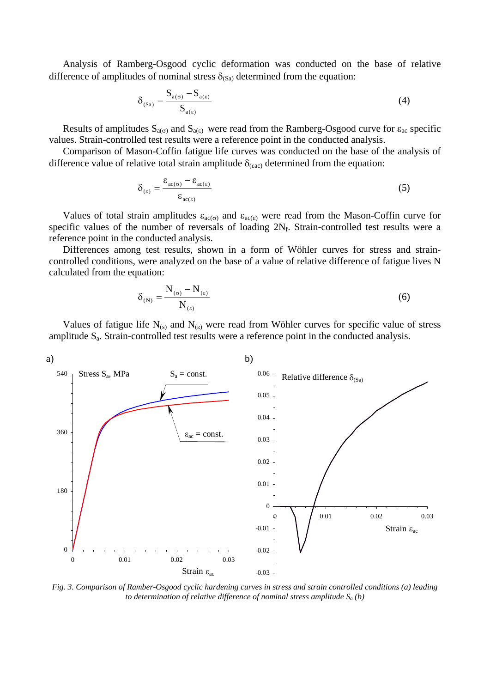Analysis of Ramberg-Osgood cyclic deformation was conducted on the base of relative difference of amplitudes of nominal stress  $\delta_{\text{(Sa)}}$  determined from the equation:

$$
\delta_{(Sa)} = \frac{S_{a(\sigma)} - S_{a(\epsilon)}}{S_{a(\epsilon)}}
$$
\n(4)

Results of amplitudes  $S_{a(\sigma)}$  and  $S_{a(\epsilon)}$  were read from the Ramberg-Osgood curve for  $\epsilon_{ac}$  specific values. Strain-controlled test results were a reference point in the conducted analysis.

Comparison of Mason-Coffin fatigue life curves was conducted on the base of the analysis of difference value of relative total strain amplitude  $\delta_{\text{(sac)}}$  determined from the equation:

$$
\delta_{(\varepsilon)} = \frac{\varepsilon_{\text{ac}(\sigma)} - \varepsilon_{\text{ac}(\varepsilon)}}{\varepsilon_{\text{ac}(\varepsilon)}}
$$
(5)

Values of total strain amplitudes  $\varepsilon_{\text{ac}(\sigma)}$  and  $\varepsilon_{\text{ac}(\varepsilon)}$  were read from the Mason-Coffin curve for specific values of the number of reversals of loading  $2N_f$ . Strain-controlled test results were a reference point in the conducted analysis.

Differences among test results, shown in a form of Wöhler curves for stress and straincontrolled conditions, were analyzed on the base of a value of relative difference of fatigue lives N calculated from the equation:

$$
\delta_{(N)} = \frac{N_{(\sigma)} - N_{(\varepsilon)}}{N_{(\varepsilon)}}
$$
\n(6)

Values of fatigue life  $N_{(s)}$  and  $N_{(s)}$  were read from Wöhler curves for specific value of stress amplitude  $S_a$ . Strain-controlled test results were a reference point in the conducted analysis.



*Fig. 3. Comparison of Ramber-Osgood cyclic hardening curves in stress and strain controlled conditions (a) leading to determination of relative difference of nominal stress amplitude Sa (b)*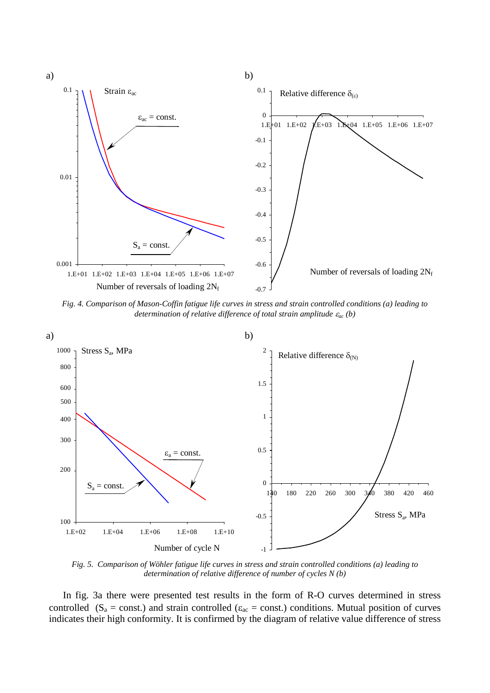

*Fig. 4. Comparison of Mason-Coffin fatigue life curves in stress and strain controlled conditions (a) leading to determination of relative difference of total strain amplitude*  $\varepsilon_{ac}$  (b)



*Fig. 5. Comparison of Wöhler fatigue life curves in stress and strain controlled conditions (a) leading to determination of relative difference of number of cycles N (b)* 

In fig. 3a there were presented test results in the form of R-O curves determined in stress controlled ( $S_a$  = const.) and strain controlled ( $\varepsilon_{ac}$  = const.) conditions. Mutual position of curves indicates their high conformity. It is confirmed by the diagram of relative value difference of stress